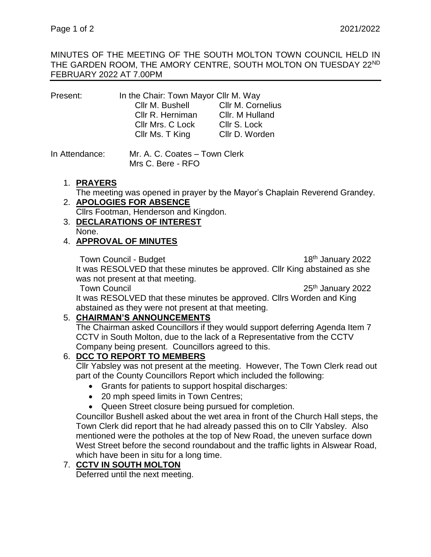#### MINUTES OF THE MEETING OF THE SOUTH MOLTON TOWN COUNCIL HELD IN THE GARDEN ROOM, THE AMORY CENTRE, SOUTH MOLTON ON TUESDAY 22ND FEBRUARY 2022 AT 7.00PM

| Present: | In the Chair: Town Mayor Cllr M. Way |                   |
|----------|--------------------------------------|-------------------|
|          | Cllr M. Bushell                      | Cllr M. Cornelius |
|          | Cllr R. Herniman                     | Cllr. M Hulland   |
|          | Cllr Mrs. C Lock                     | Cllr S. Lock      |
|          | Cllr Ms. T King                      | Cllr D. Worden    |
|          |                                      |                   |

In Attendance: Mr. A. C. Coates – Town Clerk Mrs C. Bere - RFO

## 1. **PRAYERS**

The meeting was opened in prayer by the Mayor's Chaplain Reverend Grandey.

# 2. **APOLOGIES FOR ABSENCE**

Cllrs Footman, Henderson and Kingdon.

3. **DECLARATIONS OF INTEREST** None.

# 4. **APPROVAL OF MINUTES**

Town Council - Budget 18th January 2022 It was RESOLVED that these minutes be approved. Cllr King abstained as she was not present at that meeting.

Town Council 25<sup>th</sup> January 2022

It was RESOLVED that these minutes be approved. Cllrs Worden and King abstained as they were not present at that meeting.

#### 5. **CHAIRMAN'S ANNOUNCEMENTS**

The Chairman asked Councillors if they would support deferring Agenda Item 7 CCTV in South Molton, due to the lack of a Representative from the CCTV Company being present. Councillors agreed to this.

# 6. **DCC TO REPORT TO MEMBERS**

Cllr Yabsley was not present at the meeting. However, The Town Clerk read out part of the County Councillors Report which included the following:

- Grants for patients to support hospital discharges:
- 20 mph speed limits in Town Centres;
- Queen Street closure being pursued for completion.

Councillor Bushell asked about the wet area in front of the Church Hall steps, the Town Clerk did report that he had already passed this on to Cllr Yabsley. Also mentioned were the potholes at the top of New Road, the uneven surface down West Street before the second roundabout and the traffic lights in Alswear Road, which have been in situ for a long time.

#### 7. **CCTV IN SOUTH MOLTON**

Deferred until the next meeting.